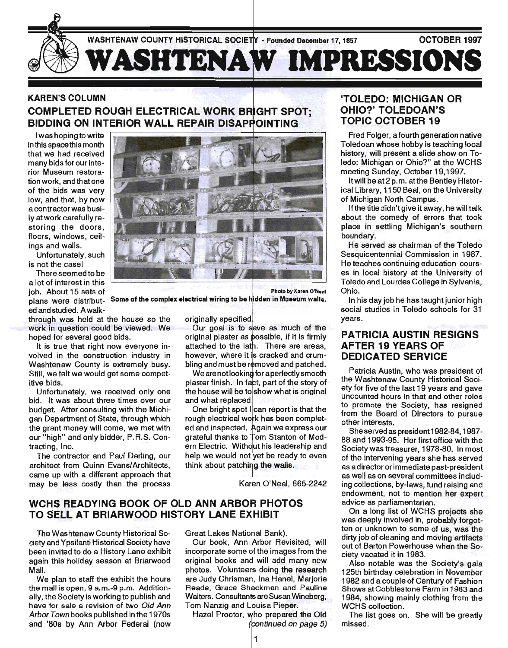

## KAREN'S COLUMN COMPLETED ROUGH ELECTRICAL WORK BIDDING ON INTERIOR WALL REPAIR DISAPPOINTING

I was hoping to write in this space this month that we had received many bids for our interior Museum restorationwork, and that one of the bids was very low, and that, by now a contractor was busily at work carefully restoring the doors, floors, windows, ceilings and walls.

Unfortunately, such is not the casel

There seemed to be a lot of interest in this job. About 15 sets of edandstudied. Awalk-

through was held at the house so the work in question could be viewed. We hoped for several good bids.

It is true that right now everyone involved in the construction industry in Washtenaw County is extremely busy. Still, we felt we would get some competitive bids.

Unfortunately. we received only one bid. It was about three times over our budget. After consulting with the Michigan Department of State, through which the grant money will come, we met with our "high" and only bidder, P.R.S. Contracting, Inc.

The contractor and Paul Darling, our architect from Quinn Evans/Architects, came up with a different approach that may be less costly than the process



Photo by Karen O'Neal

plans were distribut. Some of the complex electrical wiring to be hidden in Museum walls.

originally specified

Our goal is to save as much of the original plaster as possible, if it is firmly attached to the There are areas, however, where it is cracked and crumbling and must be removed and patched.

We are not looking for a perfectly smooth plaster finish. In fact, part of the story of the house will be to show what is original and what replaced

One bright spot  $|$ can report is that the rough electrical work has been completed and inspected. Again we express our grateful thanks to Tom Stanton of Modern Electric. Without his leadership and help we would not yet be ready to even think about patching the walls.

Karen O'Neal, 665-2242

#### WCHS READYING BOOK OF OLD ANN ARBOR PHOTOS TO SELL AT BRIARWOOD HISTORY LANE

The Washtenaw County Historical Society and Ypsilanti Historical Society have been invited to do a History Lane exhibit again this holiday season at Briarwood Mall.

We plan to staff the exhibit the hours the mall is open, 9 a.m.-9 p.m. Additionally, the Society is working to publish and have for sale a revision of two Old Ann Arbor Town books published in the 1970s and '80s by Ann Arbor Federal (now Great Lakes National Bank).

Our book, Ann Arbor Revisited, will incorporate some of the images from the original books and will add many new photos. Volunteers doing the research are Judy Chrisman, Ina Hanel, Marjorie Reade, Grace Shackman and Pauline Walters. Consultants are Susan Wineberg. Tom Nanzig and Louisa Pieper.

Hazel Proctor, who prepared the Old (continued on page 5)

#### 'TOLEDO: MICHIGAN OR OHIO?' TOLEDOAN'S TOPIC OCTOBER 19

Fred Folger, a fourth generation native Toledoan whose hobby is teaching local history, will present a slide show on Toledo: Michigan or Ohio?" at the WCHS meeting Sunday, October 19,1997.

It will be at 2 p.m. atthe Bentley Historical Library, 1150 Beal, on the University of Michigan North Campus.

If the title didn't give it away, he will talk about the comedy of errors that took place in settling Michigan's southern boundary.

He served as chairman of the Toledo Sesquicentennial Commission in 1987. He teaches continuing education courses in local history at the University of Toledo and Lourdes College in Sylvania, Ohio.

In his day job he has taught junior high social studies in Toledo schools for 31 years.

#### PATRICIA AUSTIN RESIGNS AFTER 19 YEARS OF DEDICATED SERVICE

Patricia Austin, who was president of the Washtenaw County Historical Society for five of the last 19 years and gave uncounted hours in that and other roles to promote the Society, has resigned from the Board of Directors to pursue other interests.

She served as president 1982-84, 1987- 88 and 1993-95. Her first office with the Society was treasurer, 1978-80. In most of the intervening years she'has served as a director or immediate past-president as well as on several committees including collections, by-laws, fund raising and endowment, not to mention her expert advice as parliamentarian.

On a long list of WCHS projects she was deeply involved in, probably forgotten or unknown to some of us, was the dirty job of cleaning and moving artifacts out of Barton Powerhouse when the Society vacated it in 1983.

Also notable was the Society's gala 125th birthday celebration in November 1982 and a couple of Century of Fashion Shows at Cobblestone Farm in 1983 and, 1984, showing mainly clothing from the WCHS collection.

The list goes on. She will be greatly missed.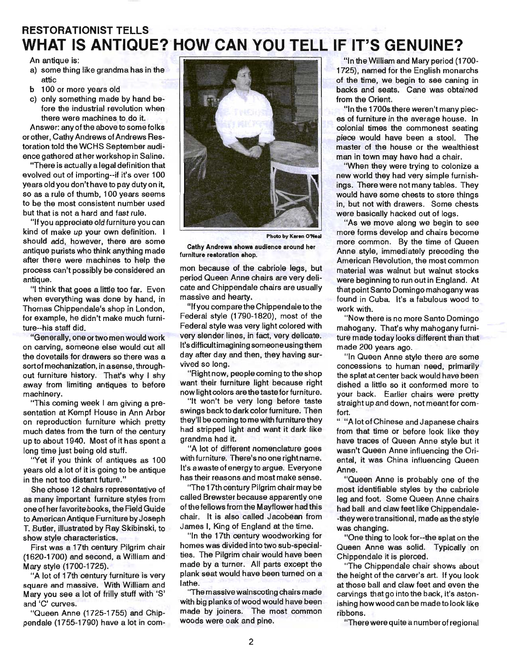# **RESTORATIONIST TELLS WHAT IS** ANTIQUE? HOW **CAN YOU TELL IF IT'S GENUINE?**

An antique is:

- a) some thing like grandma has in the attic
- b 100 or more years old
- c) only something made by hand before the industrial revolution when there were machines to do it.

Answer: any of the above to some folks or other, Cathy Andrews of Andrews Restoration told the WCHS September audience gathered at her workshop in Saline.

"There is actually a legal definition that evolved out of importing--if it's over 100 years old you don't have to pay duty on it, so as a rule of thumb, 100 years seems to be the most consistent number used but that is not a hard and fast rule.

"If you appreciate old furniture you can kind of make up your own definition. I should add, however, there are some antique purists who think anything made after there were machines to help the process can't possibly be considered an antique.

"I think that goes a little too far. Even when everything was done by hand, in Thomas Chippendale's shop in London, for example, he didn't make much furniture--his staff did.

"Generally, one or two men would work on carving, someone else would cut all the dovetails for drawers so there was a sortof mechanization, in asense, throughout furniture history. That's why I shy away from limiting antiques to before machinery.

"This coming week I am giving a presentation at Kempf House in Ann Arbor on reproduction furniture which pretty much dates from the turn of the century up to about 1940. Most of it has spent a long time just being old stuff.

"Yet if you think of antiques as 100 years old a lot of it is going to be antique in the not too distant future."

She chose 12 chairs representative of as many important furniture styles from one of her favorite books, the Field Guide to American Antique Furniture by Joseph T. Butler, illustrated by Ray Skibinski, to show style characteristics.

First was a 17th century Pilgrim chair (1620-1700) and second, a William and · Mary style (1700-1725).

"A lot of 17th century furniture is very square and massive. With William and Mary you see a lot of frilly stuff with'S' and 'C' curves.

"Queen Anne (1725-1755) and Chippendale (1755-1790) have a lot in com-



Photo by Karen O'Neal

Cathy Andrews shows audience around her furniture restoration shop.

mon because of the cabriole legs, but period Queen Anne chairs are very delicate and Chippendale chairs are usually massive and hearty.

"If you compare the Chippendale to the Federal style (1790-1820), most of the Federal style was very light colored with very slender lines, in fact, very delicate. It's difficult imagining someone using them day after day and then, they having survived so long.

"Right now, people coming to the shop want their furniture light because right now light colors are the taste for furniture.

"It won't be very long before taste swings back to dark color furniture. Then they'll be coming to me with furniture they had stripped light and want it dark like grandma had it.

"A lot of different nomenclature goes with furniture. There's no one right name. It's a waste of energy to argue. Everyone has their reasons and most make sense.

"The 17th century Pilgrim chair may be called Brewster because apparently one of the fellows from the Mayflower had this chair. It is also called Jacobean from James I, King of England at the time.

"In the 17th century woodworking for homes was divided into two sub-specialties. The Pilgrim chair would have been made by a turner. All parts except the plank seat would have been turned on a lathe.

'The massive wainscoting chairs made with big planks of wood would have been made by joiners. The most common woods were oak and pine.

"In the William and Mary period (1700- 1725), named for the English monarchs of the time, we begin to see caning in backs and seats. Cane was obtained from the Orient.

"In the 1700s there weren't many pieces of furniture in the average house. In colonial times the commonest seating piece would have been a stool. The master of the house or the wealthiest man in town may have had a chair.

"When they were trying to colonize a new world they had very simple furnishings. There were not many tables. They would have some chests to store things in, but not with drawers. Some chests were basically hacked out of logs.

"As we move along we begin to see more forms develop and chairs become more common. By the time of Queen Anne style, immediately preceding the American Revolution, the most common material was walnut but walnut stocks were beginning to run out in England. At that point Santo Domingo mahogany was found in Cuba. It's a fabulous wood to work with.

"Now there is no more Santo Domingo mahogany. That's why mahogany furniture made today looks different than that made 200 years ago.

"In Queen Anne style there are some concessions to human need, primarily the splat at center back would have been dished a little so it conformed more to your back. Earlier chairs were pretty straight up and down, not meantfor comfort.

" "A lot of Chinese and Japanese chairs from that time or before look like they have traces of Queen Anne style but it wasn't Queen Anne influencing the Oriental, it was China influencing Queen Anne.

"Queen Anne is probably one of the most identifiable styles by the cabriole leg and foot. Some Queen Anne chairs had ball and claw feet like Chippendale- -they were transitional, made as the style was changing.

"One thing to look for--the splat on the Queen Anne was solid. Typically on Chippendale it is pierced.

"The Chippendale chair shows about the height of the carver's art. If you look at those ball and claw feet and even the carvings that go into the back, it's astonishing how wood can be made to look like ribbons.

"There were quite a numberof regional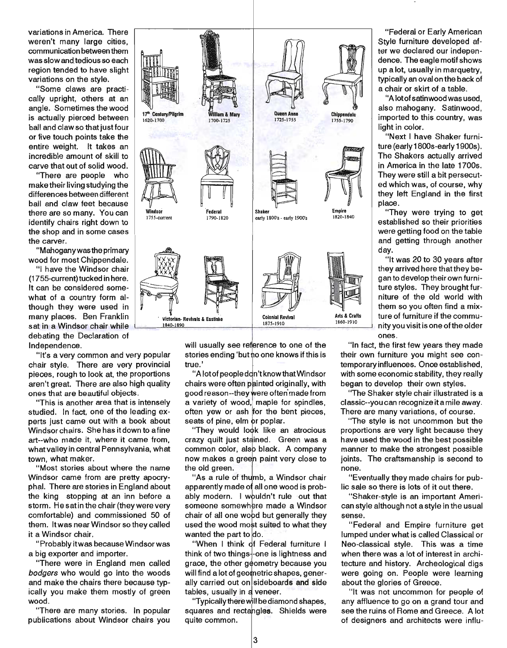variations in America. There weren't many large cities, communication between them was slow and tedious so each region tended to have slight variations on the style.

"Some claws are practically upright, others at an angle. Sometimes the wood is actually pierced between ball and claw so that just four or five touch points take the entire weight. It takes an incredible amount of skill to carve that out of solid wood.

"There are people who make their living studying the differences between different ball and claw feet because there are so many. You can identify chairs right down to the shop and in some cases the carver.

"Mahoganywasthe primary wood for most Chippendale.

"I have the Windsor chair (1755-current) tucked in here. It can be considered somewhat of a country form although they were used in many places. Ben Franklin sat in a Windsor chair while debating the Declaration of Independence.

"It's a very common and very popular chair style~ There are very provincial pieces, rough to look at, the proportions aren't great. There are also high quality ones that are beautiful objects.

"This is another area that is intensely studied. In fact, one of the leading experts just came out with a book about Windsor chairs. She has it down to a fine art--who made it, where it came from, what valley in central Pennsylvania, what town, what maker.

"Most stories about where the name Windsor came from are pretty apocryphal. There are stories in England about the king stopping at an inn before a storm. He satin the chair (they were very comfortable) and commissioned 50 of them. It was near Windsor so they called it a Windsor chair.

"Probably itwas because Windsor was a big exporter and importer.

"There were in England men called bodgers who would go into the woods and make the chairs there because typically you make them mostly of green wood.

"There are many stories. In popular publications about Windsor chairs you



will usually see reference to one of the stories ending 'but no one knows if this is true.'

"A lot of people don't know that Windsor chairs were often painted originally, with good reason--they were often made from a variety of wood, maple for spindles, often yew or ash for the bent pieces, seats of pine, elm or poplar.

"They would look like an atrocious crazy quilt just stained. Green was a common color, also black. A company now makes a green paint very close to the old green.

'As a rule of thumb, a Windsor chair apparently made all one wood is probably modern. I wouldn't rule out that someone somewhere made a Windsor chair of all one wood but generally they used the wood most suited to what they  $\,$ wanted the part to do.

"When I think of Federal furniture I think of two things-one is lightness and grace, the other geometry because you will find a lot of geometric shapes, generally carried out on sideboards and side tables, usually in a veneer.

"Typically there will be diamond shapes, squares and rectangles. Shields were quite common.

"Federal or Early American Style furniture developed after we declared our independence. The eagle motif shows up a lot, usually in marquetry, typically an oval on the back of a chair or skirt of a table.

"A lotofsatinwoodwas used, also mahogany. Satinwood, imported to this country, was light in color.

"Next I have Shaker furniture (early 1800s-early 1900s). The Shakers actually arrived in America in the late 1700s. They were still a bit persecuted which was, of course, why they left England in the first place.

"They were trying to get established so their priorities were getting food on the table and getting through another day.

"It was 20 to 30 years after they arrived here that they began to develop their own furniture styles. They brought furniture of the old world with them so you often find a mixture of furniture if the community you visit is one of the older ones.

"In fact, the first few years they made their own furniture you might see contemporary influences. Once established, with some economic stability, they really began to develop their own styles.

"The Shaker style chair illustrated is a classic--you can recognize it a mile away. There are many variations, of course.

"The style is not uncommon but the proportions are very light because they have used the wood in the best possible manner to make the strongest possible joints. The craftsmanship is second to none.

"Eventually they made chairs for public sale so there is lots of it out there.

"Shaker-style is an important American style although not a style in the usual sense.

"Federal and Empire furniture get lumped under what is called Classical or Neo-classical style. This was a time when there was a lot of interest in architecture and history. Archeological digs were going on. People were learning about the glories of Greece.

"It was not uncommon for people of any affluence to go on a grand tour and see the ruins of Rome and Greece. A lot of designers and architects were influ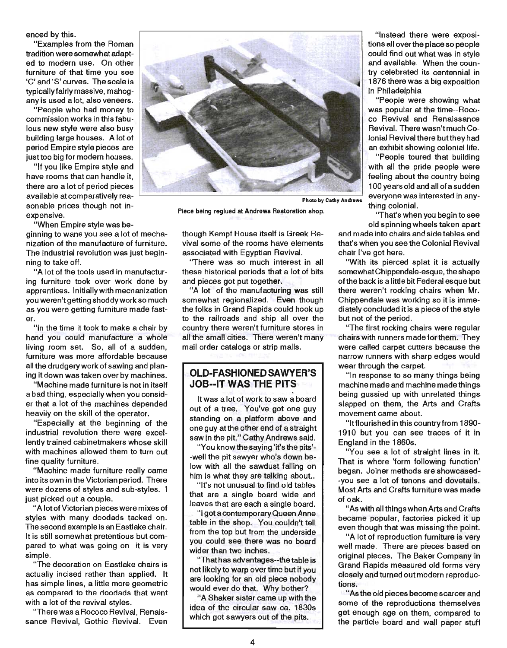enced by this.

"Examples from the Roman tradition were somewhat adapted to modern use. On other furniture of that time you see 'C' and 'S' curves. The scale is typically fairly massive, mahogany is used a lot, also veneers.

"People who had money to commission works in this fabulous new style were also busy building large houses. A lot of period Empire style pieces are just too big for modern houses.

"If you like Empire style and have rooms that can handle it, there are a lot of period pieces available at comparatively reasonable prices though not inexpensive.

"When Empire style was be-

ginning to wane you see a lot of mechanization of the manufacture of furniture. The industrial revolution was just beginning to take off.

"A lot of the tools used in manufacturing furniture took over work done by apprentices. Initially with mechanization you weren't getting shoddy work so much as you were getting furniture made faster.

"In the time it took to make a chair by hand you could manufacture a whole living room set. So, all of a sudden, furniture was more affordable because all the drudgery work of sawing and planing it down was taken over by machines.

"Machine made furniture is not in itself abad thing, especially when you consider that a lot of the machines depended heavily on the skill of the operator.

"Especially at the beginning of the industrial revolution there were excellently trained cabinetmakers whose skill with machines allowed them to turn out fine quality furniture.

"Machine made furniture really came into its own in the Victorian period. There were dozens of styles and sub-styles. I just picked out a couple.

"A 10tofVictorian pieces were mixes of styles with many doodads tacked on. The second example is an Eastlake chair. It is still somewhat pretentious but compared to what was going on it is very simple.

"The decoration on Eastlake chairs is actually incised rather than applied. It has simple lines, a little more geometric as compared to the doodads that went with a lot of the revival styles.

"There was a Rococo Revival, Renaissance Revival, Gothic Revival. Even



Photo by Cathy Andrews

Piece being reglued at Andrews Restoration shop.

though Kempf House itself is Greek Revival some of the rooms have elements associated with Egyptian Revival.

"There was so much interest in all these historical periods that a lot of bits and pieces got put together.

"A lot of the manufacturing was still somewhat regionalized. Even though the folks in Grand Rapids could hook up to the railroads and ship all over the country there weren't furniture stores in all the small cities. There weren't many mail order catalogs or strip malls.

#### **OLD-FASHIONED SAWYER'S J08--IT WAS THE PITS**

It was a lot of work to saw a board out of a tree. You've got one guy standing on a platform above and one guy at the other end of a straight saw in the pit," Cathy Andrews said.

"You know the saying 'it's the pits'--well the pit sawyer who's down below with all the sawdust falling on him is what they are talking about..

"It's not unusual to find old tables that are a single board wide and leaves that are each a single board.

"I got a contemporary Queen Anne table in the shop. You couldn't tell from the top but from the underside you could see there was no board wider than two inches.

"That has advantages--thetable is not likely to warp over time but if you are looking for an old piece nobody would ever do that. Why bother?

"A Shaker sister came up with the idea of the circular saw ca. 1830s which got sawyers out of the pits.

"Instead there were expositions all over the place so people could find out what was in style and available. When the country celebrated its centennial in 1876 there was a big exposition in Philadelphia

"People were showing what was popular at the time--Rococo Revival and Renaissance Revival. There wasn't much Colonial Revival there butthey had an exhibit showing colonial life.

"People toured that building with all the pride people were feeling about the country being 100 years old and all of a sudden everyone was interested in anything colonial.

"That's when you begin to see old spinning wheels taken apart

and made into chairs and side tables and that's when you see the Colonial Revival chair I've got here.

"With its pierced splat it is actually somewhatChippendaie-esque, the shape of the back is a little bit Federal esque but there weren't rocking chairs when Mr. Chippendale was working so it is immediately concluded it is a piece of the style but not of the period.

"The first rocking chairs were regular chairs with runners made for them. They were called carpet cutters because the narrow runners with sharp edges would wear through the carpet.

"In response to so many things being machine made and machine made things being gussied up with unrelated things slapped on them, the Arts and Crafts movement came about.

"Itflourished in this country from 1890- 1910 but you can see traces of it in England in the 1860s.

"You see a lot of straight lines in it. That is where 'form following function' began. Joiner methods are showcased- -you see a lot of tenons and dovetails. Most Arts and Crafts furniture was made of oak.

"As with all things when Arts and Crafts became popular, factories picked it up even though that was missing the point.

"A lot of reproduction furniture is very well made. There are pieces based on original pieces. The Baker Company in Grand Rapids measured old forms very closely and turned out modern reproductions.

"As the old pieces become scarcer and some of the reproductions themselves get enough age on them, compared to the particle board and wall paper stuff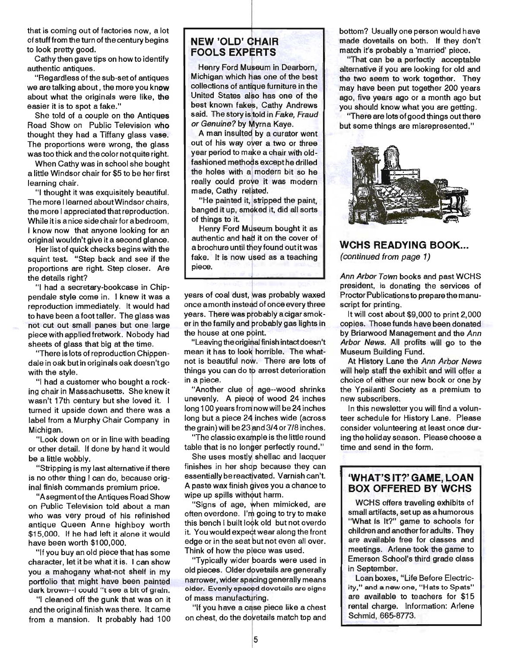that is coming out of factories now; a lot of stuff from the turn of the century begins to look pretty good.

Cathy then gave tips on how to identify authentic antiques.

"Regardless of the sub-set of antiques we are talking about, the more you know about what the originals were like, the easier it is to spot a fake."

She told of a couple on the Antiques Road Show on Public Television who thought they had a Tiffany glass vase. The proportions were wrong, the glass was too thick and the color not quite right.

When Cathy was in school she bought a little Windsor chair for \$5 to be her first learning chair.

"I thought it was exquisitely beautiful. The more I learned about Windsor chairs, the more I appreciated that reproduction. While it is a nice side chair for a bedroom. I know now that anyone looking for an original wouldn't give it a second glance.

Her list of quick checks begins with the squint test. "Step back and see if the proportions are right. Step closer. Are the details right?

"I had a secretary-bookcase in Chippendale style come in. I knew it was a reproduction immediately. It would had to have been a foot taller. The glass was not cut out small panes but one large piece with applied fretwork. Nobody had sheets of glass that big at the time.

"There is lots of reproduction Chippendale in oak but in originals oak doesn't go with the style.

"I had a customer who bought a rocking chair in Massachusetts. She knew it wasn't 17th century but she loved it. I turned it upside down and there was a label from a Murphy Chair Company in Michigan.

"Look down on or in line with beading or other detail. If done by hand it would be a little wobbly.

"Stripping is my last alternative if there is no other thing I can do, because original finish commands premium price.

"A segment of the Antiques Road Show on Public Television told about a man who was very proud of his refinished antique Queen Anne highboy worth \$15,000. If he had left it alone it would have been worth \$100,000.

"If you buy an old piece that has some character, let it be what it is. I can show you a mahogany what-not shelf in my portfolio that might have been painted dark brown--I could "t see a bit of grain.

"I cleaned off the gunk that was on it and the original finish was there. It came from a mansion. It probably had 100

## **NEW 'OLD' CHAIR FOOLS EXPERTS**

Henry Ford Museum in Dearborn, Michigan which has one of the best collections of antique furniture in the United States also has one of the best known fakes, Cathy Andrews said. The story is told in Fake, Fraud or Genuine? by Myrna Kaye.

A man insulted by a curator went out of his way over a two or three year period to make a chair with oldfashioned methods except he drilled the holes with a modern bit so he really could prove it was modern made, Cathy related.

"He painted it, stripped the paint, banged it up, smoked it, did all sorts of things to it.

Henry Ford Museum bought it as authentic and had it on the cover of a brochure until they found out it was fake. It is now used as a teaching piece.

years of coal dust, was probably waxed once a month instead of once every three years. There was probably a cigar smoker in the family and probably gas lights in the house at one point.

"Leaving the original finish intact doesn't mean it has to look horrible. The whatnot is beautiful now. There are lots of things you can do to arrest deterioration in a piece.

"Another clue of age--wood shrinks unevenly. A piece of wood 24 inches long 100 years from now will be 24 inches long but a piece 24 inches wide (across the grain) will be 23 and 3/4 or 7/8 inches.

 $"$ The classic example is the little round table that is no longer perfectly round."

She uses mostly shellac and lacquer finishes in her shop because they can essentially be reactivated. Varnish can't. A paste wax finish gives you a chance to wipe up spills without harm.

"Signs of age, when mimicked, are often overdone. I'm going to try to make this bench I built look old but not overdo it. You would expect wear along the front edge or in the seat but not even all over. Think of how the piece was used.

"Typically wider poards were used in old pieces. Older dovetails are generally narrower, wider spacing generally means older. Evenly spaced dovetails are signs of mass manufacturing.

"If you have a case piece like a chest on chest, do the dowetails match top and bottom? Usually one person would have made dovetails on both. If they don't match it's probably a 'married' piece.

"That can be a perfectly acceptable alternative if you are looking for old and the two seem to work together. They may have been put together 200 years ago, five years ago or a month ago but you should know what you are getting.

"There are lots of good things out there but some things are misrepresented."



#### **WCHS READYING BOOK ...**

(continued from page 1)

Ann Arbor Town books and past WCHS president, is donating the services of Proctor Publications to prepare the manuscript for printing.

It will cost about \$9,000 to print 2,000 copies. Those funds have been donated by Briarwood Management and the Ann Arbor News. All profits will go to the Museum Building Fund.

At History Lane the Ann Arbor News will help staff the exhibit and will offer a choice of either our new book or one by the Ypsilanti Society as a premium to new subscribers.

In this newsletter you will find a volunteer schedule for History Lane. Please consider volunteering at least once during the holiday season. Please choose a time and send in the form.

## **'WHAT'S IT?' GAME, LOAN BOX OFFERED BY WCHS**

WCHS offers traveling exhibits of small artifacts, set up as a humorous "What Is It?" game to schools for children and another for adults. They are available free for classes and meetings. Arlene took the game to Emerson School's third grade class in September.

Loan boxes, "Life Before Electricity," and a new one, "Hats to Spats" are available to teachers for \$15 rental charge. Information: Arlene Schmid, 665-8773.